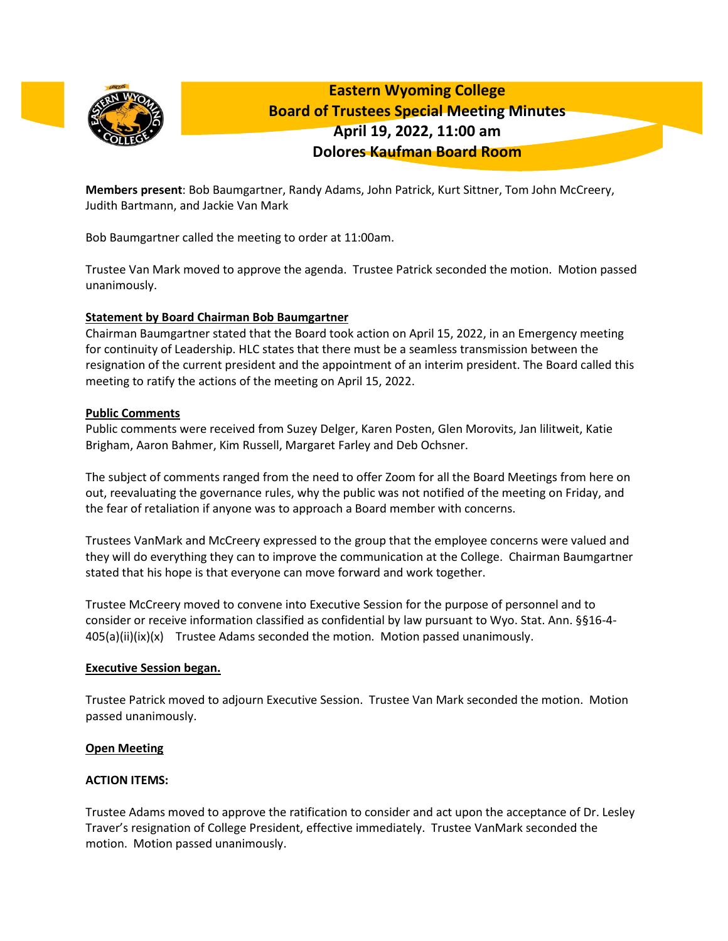

**Eastern Wyoming College Board of Trustees Special Meeting Minutes April 19, 2022, 11:00 am Dolores Kaufman Board Room**

**Members present**: Bob Baumgartner, Randy Adams, John Patrick, Kurt Sittner, Tom John McCreery, Judith Bartmann, and Jackie Van Mark

Bob Baumgartner called the meeting to order at 11:00am.

Trustee Van Mark moved to approve the agenda. Trustee Patrick seconded the motion. Motion passed unanimously.

# **Statement by Board Chairman Bob Baumgartner**

Chairman Baumgartner stated that the Board took action on April 15, 2022, in an Emergency meeting for continuity of Leadership. HLC states that there must be a seamless transmission between the resignation of the current president and the appointment of an interim president. The Board called this meeting to ratify the actions of the meeting on April 15, 2022.

## **Public Comments**

Public comments were received from Suzey Delger, Karen Posten, Glen Morovits, Jan lilitweit, Katie Brigham, Aaron Bahmer, Kim Russell, Margaret Farley and Deb Ochsner.

The subject of comments ranged from the need to offer Zoom for all the Board Meetings from here on out, reevaluating the governance rules, why the public was not notified of the meeting on Friday, and the fear of retaliation if anyone was to approach a Board member with concerns.

Trustees VanMark and McCreery expressed to the group that the employee concerns were valued and they will do everything they can to improve the communication at the College. Chairman Baumgartner stated that his hope is that everyone can move forward and work together.

Trustee McCreery moved to convene into Executive Session for the purpose of personnel and to consider or receive information classified as confidential by law pursuant to Wyo. Stat. Ann. §§16-4-  $405(a)(ii)(ix)(x)$  Trustee Adams seconded the motion. Motion passed unanimously.

# **Executive Session began.**

Trustee Patrick moved to adjourn Executive Session. Trustee Van Mark seconded the motion. Motion passed unanimously.

# **Open Meeting**

# **ACTION ITEMS:**

Trustee Adams moved to approve the ratification to consider and act upon the acceptance of Dr. Lesley Traver's resignation of College President, effective immediately. Trustee VanMark seconded the motion. Motion passed unanimously.